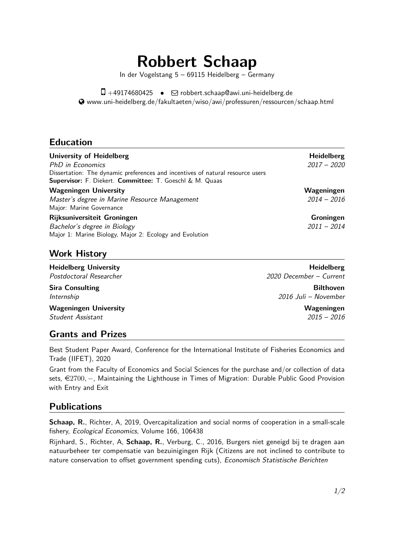# **Robbert Schaap**

In der Vogelstang 5 – 69115 Heidelberg – Germany

 $\Box$  +49174680425 •  $\Box$  [robbert.schaap@awi.uni-heidelberg.de](mailto:robbert.schaap@awi.uni-heidelberg.de) [www.uni-heidelberg.de/fakultaeten/wiso/awi/professuren/ressourcen/schaap.html](http://www.uni-heidelberg.de/fakultaeten/wiso/awi/professuren/ressourcen/schaap.html)

## **Education**

| <b>University of Heidelberg</b>                                                | <b>Heidelberg</b> |
|--------------------------------------------------------------------------------|-------------------|
| <b>PhD</b> in Economics                                                        | $2017 - 2020$     |
| Dissertation: The dynamic preferences and incentives of natural resource users |                   |
| Supervisor: F. Diekert. Committee: T. Goeschl & M. Quaas                       |                   |
| <b>Wageningen University</b>                                                   | Wageningen        |
| Master's degree in Marine Resource Management                                  | $2014 - 2016$     |
| Major: Marine Governance                                                       |                   |
| Rijksuniversiteit Groningen                                                    | Groningen         |
| Bachelor's degree in Biology                                                   | $2011 - 2014$     |
| Major 1: Marine Biology, Major 2: Ecology and Evolution                        |                   |

## **Work History**

**Heidelberg University Heidelberg** Postdoctoral Researcher 2020 December – Current **Sira Consulting Consulting Consulting Consulting Consulting Consulting Consulting Consulting Consulting Consulting Consulting Consulting Consulting Consulting Consulting Consulting Consulting Consulting Consulting Consult** Internship 2016 Juli – November **Wageningen University Wageningen** Student Assistant 2015 – 2016

## **Grants and Prizes**

Best Student Paper Award, Conference for the International Institute of Fisheries Economics and Trade (IIFET), 2020

Grant from the Faculty of Economics and Social Sciences for the purchase and/or collection of data sets,  $€2700, -$ , Maintaining the Lighthouse in Times of Migration: Durable Public Good Provision with Entry and Exit

# **Publications**

**Schaap, R.**, Richter, A, 2019, Overcapitalization and social norms of cooperation in a small-scale fishery, Ecological Economics, Volume 166, 106438

Rijnhard, S., Richter, A, **Schaap, R.**, Verburg, C., 2016, Burgers niet geneigd bij te dragen aan natuurbeheer ter compensatie van bezuinigingen Rijk (Citizens are not inclined to contribute to nature conservation to offset government spending cuts), Economisch Statistische Berichten